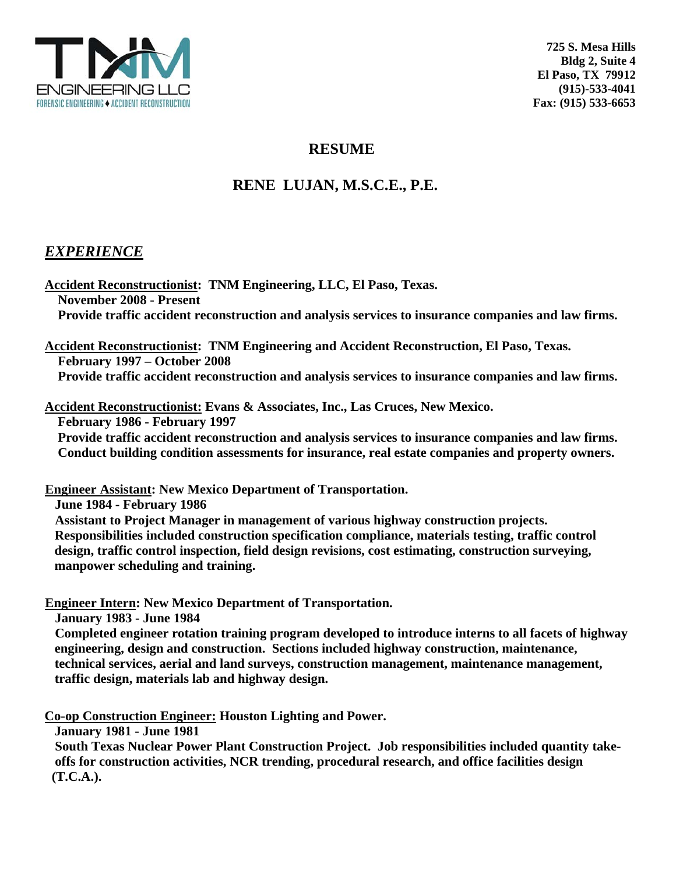

# **RESUME**

# **RENE LUJAN, M.S.C.E., P.E.**

## *EXPERIENCE*

**Accident Reconstructionist: TNM Engineering, LLC, El Paso, Texas. November 2008 - Present Provide traffic accident reconstruction and analysis services to insurance companies and law firms.** 

**Accident Reconstructionist: TNM Engineering and Accident Reconstruction, El Paso, Texas. February 1997 – October 2008 Provide traffic accident reconstruction and analysis services to insurance companies and law firms.** 

**Accident Reconstructionist: Evans & Associates, Inc., Las Cruces, New Mexico. February 1986 - February 1997** 

 **Provide traffic accident reconstruction and analysis services to insurance companies and law firms. Conduct building condition assessments for insurance, real estate companies and property owners.** 

**Engineer Assistant: New Mexico Department of Transportation.** 

 **June 1984 - February 1986** 

 **Assistant to Project Manager in management of various highway construction projects. Responsibilities included construction specification compliance, materials testing, traffic control design, traffic control inspection, field design revisions, cost estimating, construction surveying, manpower scheduling and training.** 

**Engineer Intern: New Mexico Department of Transportation.** 

 **January 1983 - June 1984** 

 **Completed engineer rotation training program developed to introduce interns to all facets of highway engineering, design and construction. Sections included highway construction, maintenance, technical services, aerial and land surveys, construction management, maintenance management, traffic design, materials lab and highway design.** 

**Co-op Construction Engineer: Houston Lighting and Power.** 

 **January 1981 - June 1981** 

 **South Texas Nuclear Power Plant Construction Project. Job responsibilities included quantity take offs for construction activities, NCR trending, procedural research, and office facilities design (T.C.A.).**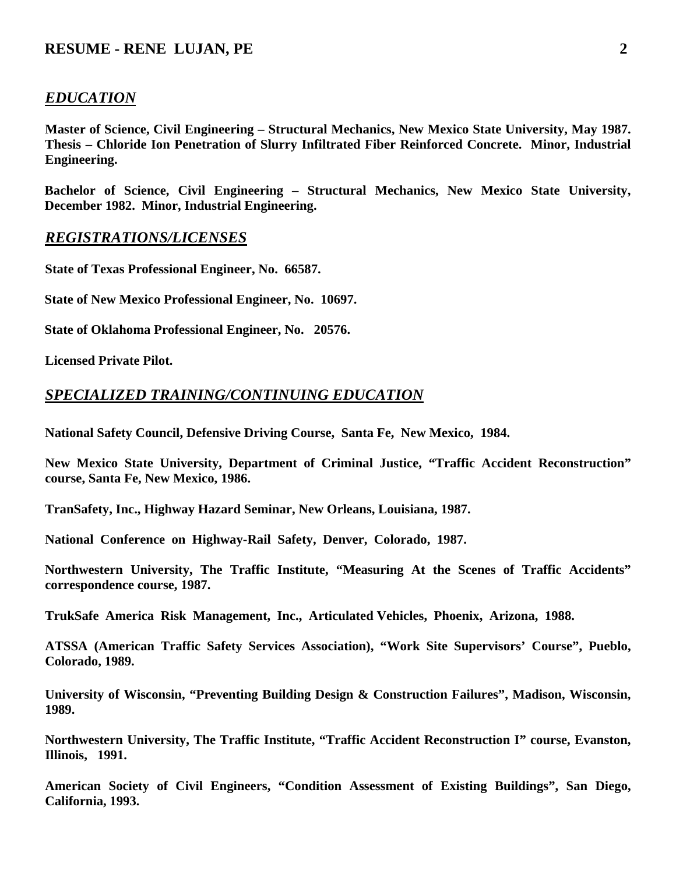### **RESUME - RENE LUJAN, PE** 2

#### *EDUCATION*

**Master of Science, Civil Engineering – Structural Mechanics, New Mexico State University, May 1987. Thesis – Chloride Ion Penetration of Slurry Infiltrated Fiber Reinforced Concrete. Minor, Industrial Engineering.** 

**Bachelor of Science, Civil Engineering – Structural Mechanics, New Mexico State University, December 1982. Minor, Industrial Engineering.** 

#### *REGISTRATIONS/LICENSES*

**State of Texas Professional Engineer, No. 66587.** 

**State of New Mexico Professional Engineer, No. 10697.** 

**State of Oklahoma Professional Engineer, No. 20576.** 

**Licensed Private Pilot.** 

#### *SPECIALIZED TRAINING/CONTINUING EDUCATION*

**National Safety Council, Defensive Driving Course, Santa Fe, New Mexico, 1984.** 

**New Mexico State University, Department of Criminal Justice, "Traffic Accident Reconstruction" course, Santa Fe, New Mexico, 1986.** 

**TranSafety, Inc., Highway Hazard Seminar, New Orleans, Louisiana, 1987.** 

**National Conference on Highway-Rail Safety, Denver, Colorado, 1987.** 

**Northwestern University, The Traffic Institute, "Measuring At the Scenes of Traffic Accidents" correspondence course, 1987.** 

**TrukSafe America Risk Management, Inc., Articulated Vehicles, Phoenix, Arizona, 1988.** 

**ATSSA (American Traffic Safety Services Association), "Work Site Supervisors' Course", Pueblo, Colorado, 1989.** 

**University of Wisconsin, "Preventing Building Design & Construction Failures", Madison, Wisconsin, 1989.** 

**Northwestern University, The Traffic Institute, "Traffic Accident Reconstruction I" course, Evanston, Illinois, 1991.** 

**American Society of Civil Engineers, "Condition Assessment of Existing Buildings", San Diego, California, 1993.**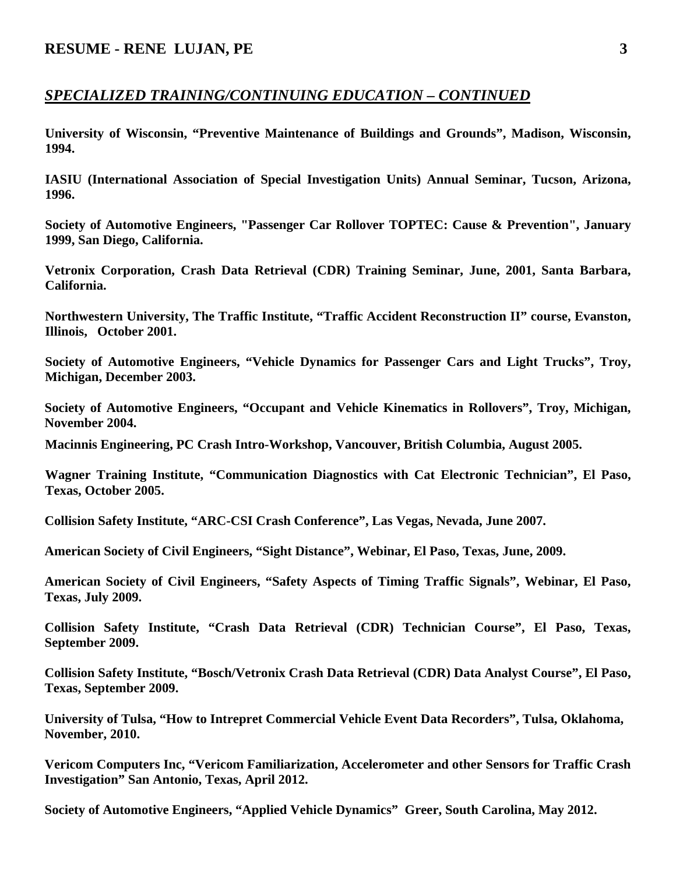## *SPECIALIZED TRAINING/CONTINUING EDUCATION – CONTINUED*

**University of Wisconsin, "Preventive Maintenance of Buildings and Grounds", Madison, Wisconsin, 1994.** 

**IASIU (International Association of Special Investigation Units) Annual Seminar, Tucson, Arizona, 1996.** 

**Society of Automotive Engineers, "Passenger Car Rollover TOPTEC: Cause & Prevention", January 1999, San Diego, California.** 

**Vetronix Corporation, Crash Data Retrieval (CDR) Training Seminar, June, 2001, Santa Barbara, California.** 

**Northwestern University, The Traffic Institute, "Traffic Accident Reconstruction II" course, Evanston, Illinois, October 2001.** 

**Society of Automotive Engineers, "Vehicle Dynamics for Passenger Cars and Light Trucks", Troy, Michigan, December 2003.** 

**Society of Automotive Engineers, "Occupant and Vehicle Kinematics in Rollovers", Troy, Michigan, November 2004.** 

**Macinnis Engineering, PC Crash Intro-Workshop, Vancouver, British Columbia, August 2005.** 

**Wagner Training Institute, "Communication Diagnostics with Cat Electronic Technician", El Paso, Texas, October 2005.** 

**Collision Safety Institute, "ARC-CSI Crash Conference", Las Vegas, Nevada, June 2007.** 

**American Society of Civil Engineers, "Sight Distance", Webinar, El Paso, Texas, June, 2009.** 

**American Society of Civil Engineers, "Safety Aspects of Timing Traffic Signals", Webinar, El Paso, Texas, July 2009.** 

**Collision Safety Institute, "Crash Data Retrieval (CDR) Technician Course", El Paso, Texas, September 2009.** 

**Collision Safety Institute, "Bosch/Vetronix Crash Data Retrieval (CDR) Data Analyst Course", El Paso, Texas, September 2009.** 

**University of Tulsa, "How to Intrepret Commercial Vehicle Event Data Recorders", Tulsa, Oklahoma, November, 2010.** 

**Vericom Computers Inc, "Vericom Familiarization, Accelerometer and other Sensors for Traffic Crash Investigation" San Antonio, Texas, April 2012.** 

**Society of Automotive Engineers, "Applied Vehicle Dynamics" Greer, South Carolina, May 2012.**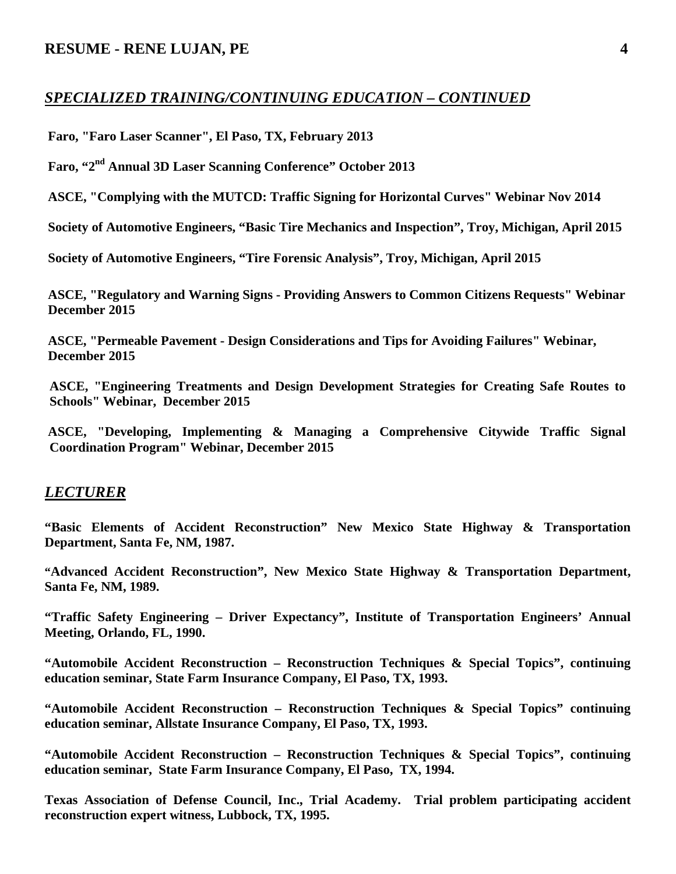## *SPECIALIZED TRAINING/CONTINUING EDUCATION – CONTINUED*

 **Faro, "Faro Laser Scanner", El Paso, TX, February 2013** 

 **Faro, "2nd Annual 3D Laser Scanning Conference" October 2013** 

 **ASCE, "Complying with the MUTCD: Traffic Signing for Horizontal Curves" Webinar Nov 2014** 

 **Society of Automotive Engineers, "Basic Tire Mechanics and Inspection", Troy, Michigan, April 2015** 

 **Society of Automotive Engineers, "Tire Forensic Analysis", Troy, Michigan, April 2015** 

 **ASCE, "Regulatory and Warning Signs - Providing Answers to Common Citizens Requests" Webinar December 2015** 

 **ASCE, "Permeable Pavement - Design Considerations and Tips for Avoiding Failures" Webinar, December 2015** 

**ASCE, "Engineering Treatments and Design Development Strategies for Creating Safe Routes to Schools" Webinar, December 2015** 

 **ASCE, "Developing, Implementing & Managing a Comprehensive Citywide Traffic Signal Coordination Program" Webinar, December 2015** 

#### *LECTURER*

**"Basic Elements of Accident Reconstruction" New Mexico State Highway & Transportation Department, Santa Fe, NM, 1987.** 

**"Advanced Accident Reconstruction", New Mexico State Highway & Transportation Department, Santa Fe, NM, 1989.** 

**"Traffic Safety Engineering – Driver Expectancy", Institute of Transportation Engineers' Annual Meeting, Orlando, FL, 1990.** 

**"Automobile Accident Reconstruction – Reconstruction Techniques & Special Topics", continuing education seminar, State Farm Insurance Company, El Paso, TX, 1993.** 

**"Automobile Accident Reconstruction – Reconstruction Techniques & Special Topics" continuing education seminar, Allstate Insurance Company, El Paso, TX, 1993.** 

**"Automobile Accident Reconstruction – Reconstruction Techniques & Special Topics", continuing education seminar, State Farm Insurance Company, El Paso, TX, 1994.** 

**Texas Association of Defense Council, Inc., Trial Academy. Trial problem participating accident reconstruction expert witness, Lubbock, TX, 1995.**